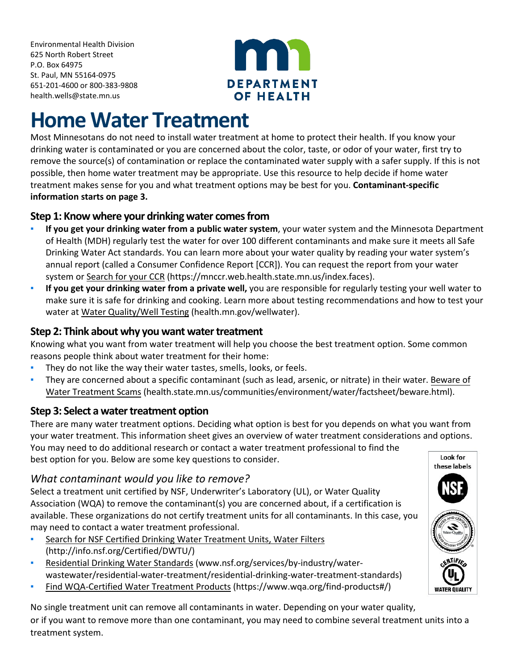Environmental Health Division 625 North Robert Street P.O. Box 64975 St. Paul, MN 55164-0975 651-201-4600 or 800-383-9808 [health.wells@state.mn.us](mailto:health.wells@state.mn.us)



# **Home Water Treatment**

Most Minnesotans do not need to install water treatment at home to protect their health. If you know your drinking water is contaminated or you are concerned about the color, taste, or odor of your water, first try to remove the source(s) of contamination or replace the contaminated water supply with a safer supply. If this is not possible, then home water treatment may be appropriate. Use this resource to help decide if home water treatment makes sense for you and what treatment options may be best for you. **Contaminant-specific information starts on page 3.**

## **Step 1: Know where your drinking water comes from**

- **If you get your drinking water from a public water system**, your water system and the Minnesota Department of Health (MDH) regularly test the water for over 100 different contaminants and make sure it meets all Safe Drinking Water Act standards. You can learn more about your water quality by reading your water system's annual report (called a Consumer Confidence Report [CCR]). You can request the report from your water system or Search for your CCR [\(https://mnccr.web.health.state.mn.us/index.faces\).](https://mnccr.web.health.state.mn.us/index.faces)
- **If you get your drinking water from a private well,** you are responsible for regularly testing your well water to make sure it is safe for drinking and cooking. Learn more about testing recommendations and how to test your water at [Water Quality/Well Testing \(health.mn.gov/wellwater\)](http://www.health.mn.gov/wellwater).

## **Step 2: Think about why you want water treatment**

Knowing what you want from water treatment will help you choose the best treatment option. Some common reasons people think about water treatment for their home:

- **•** They do not like the way their water tastes, smells, looks, or feels.
- They are concerned about a specific contaminant (such as lead, arsenic, or nitrate) in their water. [Beware](https://www.health.state.mn.us/communities/environment/water/factsheet/beware.html) of Water Treatment Scams [\(health.state.mn.us/communities/environment/water/factsheet/beware.html\).](https://www.health.state.mn.us/communities/environment/water/factsheet/beware.html)

## **Step 3: Select a water treatment option**

There are many water treatment options. Deciding what option is best for you depends on what you want from your water treatment. This information sheet gives an overview of water treatment considerations and options. You may need to do additional research or contact a water treatment professional to find the

best option for you. Below are some key questions to consider.

## *What contaminant would you like to remove?*

Select a treatment unit certified by NSF, Underwriter's Laboratory (UL), or Water Quality Association (WQA) to remove the contaminant(s) you are concerned about, if a certification is available. These organizations do not certify treatment units for all contaminants. In this case, you may need to contact a water treatment professional.

- **EXECT:** [Search for NSF Certified Drinking Water Treatment Units, Water Filters](http://info.nsf.org/Certified/DWTU/) [\(http://info.nsf.org/Certified/DWTU/\)](http://info.nsf.org/Certified/DWTU/)
- Residential Drinking Water Standards [\(www.nsf.org/services/by-industry/water](http://www.nsf.org/services/by-industry/water-wastewater/residential-water-treatment/residential-drinking-water-treatment-standards)[wastewater/residential-water-treatment/residential-drinking-water-treatment-standards\)](http://www.nsf.org/services/by-industry/water-wastewater/residential-water-treatment/residential-drinking-water-treatment-standards)
- [Find WQA-Certified Water Treatment Products](https://www.wqa.org/find-products#/) (https://www.wqa.org/find-products#/)

No single treatment unit can remove all contaminants in water. Depending on your water quality, or if you want to remove more than one contaminant, you may need to combine several treatment units into a treatment system.

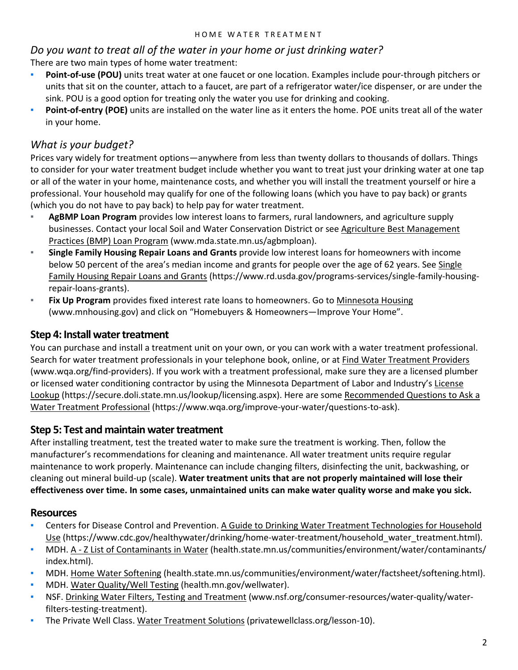## *Do you want to treat all of the water in your home or just drinking water?*

There are two main types of home water treatment:

- **Point-of-use (POU)** units treat water at one faucet or one location. Examples include pour-through pitchers or units that sit on the counter, attach to a faucet, are part of a refrigerator water/ice dispenser, or are under the sink. POU is a good option for treating only the water you use for drinking and cooking.
- **Point-of-entry (POE)** units are installed on the water line as it enters the home. POE units treat all of the water in your home.

## *What is your budget?*

Prices vary widely for treatment options—anywhere from less than twenty dollars to thousands of dollars. Things to consider for your water treatment budget include whether you want to treat just your drinking water at one tap or all of the water in your home, maintenance costs, and whether you will install the treatment yourself or hire a professional. Your household may qualify for one of the following loans (which you have to pay back) or grants (which you do not have to pay back) to help pay for water treatment.

- AgBMP Loan Program provides low interest loans to farmers, rural landowners, and agriculture supply businesses. Contact your local Soil and Water Conservation District or see [Agriculture Best Management](http://www.mda.state.mn.us/agbmploan)  Practices (BMP) Loan Program [\(www.mda.state.mn.us/agbmploan\)](http://www.mda.state.mn.us/agbmploan).
- **Single Family Housing Repair Loans and Grants** provide low interest loans for homeowners with income below 50 percent of the area's median income and grants for people over the age of 62 years. See Single Family Housing Repair Loans and Grants [\(https://www.rd.usda.gov/programs-services/single-family-housing](https://www.rd.usda.gov/programs-services/single-family-housing-repair-loans-grants)[repair-loans-grants\)](https://www.rd.usda.gov/programs-services/single-family-housing-repair-loans-grants).
- **Eix Up Program** provides fixed interest rate loans to homeowners. Go to Minnesota Housing [\(www.mnhousing.gov\)](http://www.mnhousing.gov/) and click on "Homebuyers & Homeowners—Improve Your Home".

## **Step 4: Install water treatment**

You can purchase and install a treatment unit on your own, or you can work with a water treatment professional. Search for water treatment professionals in your telephone book, online, or at [Find Water Treatment Providers](http://www.wqa.org/find-providers) [\(www.wqa.org/find-providers\)](http://www.wqa.org/find-providers). If you work with a treatment professional, make sure they are a licensed plumber or licensed water conditioning contractor by using the Minnesota Department of Labor and Industry'[s License](https://secure.doli.state.mn.us/lookup/licensing.aspx)  Lookup [\(https://secure.doli.state.mn.us/lookup/licensing.aspx\).](https://secure.doli.state.mn.us/lookup/licensing.aspx) Here are some [Recommended Questions to Ask a](https://www.wqa.org/improve-your-water/questions-to-ask)  Water Treatment Professional [\(https://www.wqa.org/improve-your-water/questions-to-ask\)](https://www.wqa.org/improve-your-water/questions-to-ask).

## **Step 5: Test and maintain water treatment**

After installing treatment, test the treated water to make sure the treatment is working. Then, follow the manufacturer's recommendations for cleaning and maintenance. All water treatment units require regular maintenance to work properly. Maintenance can include changing filters, disinfecting the unit, backwashing, or cleaning out mineral build-up (scale). **Water treatment units that are not properly maintained will lose their effectiveness over time. In some cases, unmaintained units can make water quality worse and make you sick.**

## **Resources**

- **EXECTERS For Disease Control and Prevention. A Guide to Drinking Water Treatment Technologies for Household** Use [\(https://www.cdc.gov/healthywater/drinking/home-water-treatment/household\\_water\\_treatment.html\).](https://www.cdc.gov/healthywater/drinking/home-water-treatment/household_water_treatment.html)
- MDH. A Z List of Contaminants in Water [\(health.state.mn.us/communities/environment/water/contaminants/](https://www.health.state.mn.us/communities/environment/water/contaminants/index.html) [index.html\).](https://www.health.state.mn.us/communities/environment/water/contaminants/index.html)
- MDH. Home Water Softening [\(health.state.mn.us/communities/environment/water/factsheet/softening.html\).](https://www.health.state.mn.us/communities/environment/water/factsheet/softening.html)
- MDH[. Water Quality/Well Testing](http://www.health.state.mn.us/wellwater) (health.mn.gov/wellwater).
- NSF. Drinking Water Filters, Testing and Treatment [\(www.nsf.org/consumer-resources/water-quality/water](http://www.nsf.org/consumer-resources/water-quality/water-filters-testing-treatment)[filters-testing-treatment\).](http://www.nsf.org/consumer-resources/water-quality/water-filters-testing-treatment)
- **The Private Well Class. Water Treatment Solutions [\(privatewellclass.org/lesson-10\).](http://privatewellclass.org/lesson-10)**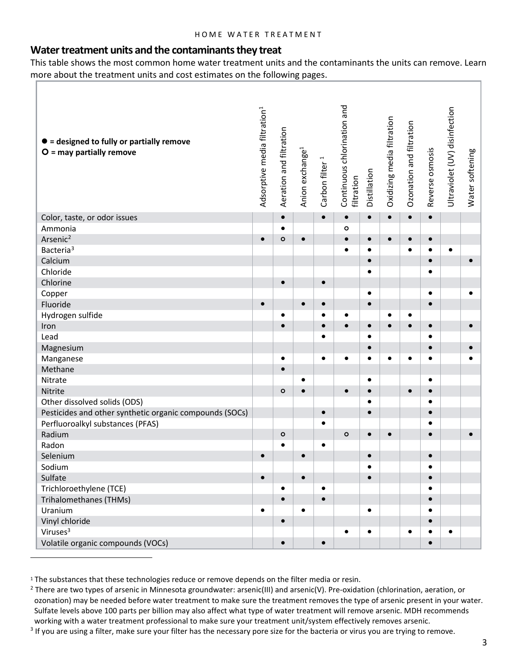#### **Water treatment units and the contaminants they treat**

This table shows the most common home water treatment units and the contaminants the units can remove. Learn more about the treatment units and cost estimates on the following pages. Ť.

| $\bullet$ = designed to fully or partially remove<br>$O =$ may partially remove | Adsorptive media filtration <sup>1</sup> | Aeration and filtration | Anion exchange <sup>1</sup> | Carbon filter <sup>1</sup> | Continuous chlorination and<br>filtration | Distillation | Oxidizing media filtration | Ozonation and filtration | Reverse osmosis | Ultraviolet (UV) disinfection | Water softening |
|---------------------------------------------------------------------------------|------------------------------------------|-------------------------|-----------------------------|----------------------------|-------------------------------------------|--------------|----------------------------|--------------------------|-----------------|-------------------------------|-----------------|
| Color, taste, or odor issues                                                    |                                          | $\bullet$               |                             | $\bullet$                  | $\bullet$                                 | $\bullet$    | $\bullet$                  | $\bullet$                | $\bullet$       |                               |                 |
| Ammonia                                                                         |                                          | $\bullet$               |                             |                            | $\bullet$                                 |              |                            |                          |                 |                               |                 |
| Arsenic <sup>2</sup>                                                            | $\bullet$                                | $\circ$                 | $\bullet$                   |                            | $\bullet$                                 | $\bullet$    | $\bullet$                  |                          | $\bullet$       |                               |                 |
| Bacteria <sup>3</sup>                                                           |                                          |                         |                             |                            |                                           | $\bullet$    |                            |                          | $\bullet$       | $\bullet$                     |                 |
| Calcium                                                                         |                                          |                         |                             |                            |                                           | $\bullet$    |                            |                          | $\bullet$       |                               | $\bullet$       |
| Chloride                                                                        |                                          |                         |                             |                            |                                           | $\bullet$    |                            |                          | $\bullet$       |                               |                 |
| Chlorine                                                                        |                                          | $\bullet$               |                             | $\bullet$                  |                                           |              |                            |                          |                 |                               |                 |
| Copper                                                                          |                                          |                         |                             |                            |                                           | $\bullet$    |                            |                          | $\bullet$       |                               |                 |
| Fluoride                                                                        | $\bullet$                                |                         | $\bullet$                   | $\bullet$                  |                                           | $\bullet$    |                            |                          | $\bullet$       |                               |                 |
| Hydrogen sulfide                                                                |                                          | $\bullet$               |                             | $\bullet$                  |                                           |              | $\bullet$                  |                          |                 |                               |                 |
| Iron                                                                            |                                          | $\bullet$               |                             | $\bullet$                  | $\bullet$                                 | $\bullet$    | $\bullet$                  |                          | $\bullet$       |                               |                 |
| Lead                                                                            |                                          |                         |                             | $\bullet$                  |                                           | $\bullet$    |                            |                          | $\bullet$       |                               |                 |
| Magnesium                                                                       |                                          |                         |                             |                            |                                           | $\bullet$    |                            |                          | $\bullet$       |                               |                 |
| Manganese                                                                       |                                          | $\bullet$               |                             | $\bullet$                  | $\bullet$                                 | $\bullet$    | $\bullet$                  | $\bullet$                | $\bullet$       |                               |                 |
| Methane                                                                         |                                          | $\bullet$               |                             |                            |                                           |              |                            |                          |                 |                               |                 |
| Nitrate                                                                         |                                          |                         | $\bullet$                   |                            |                                           | $\bullet$    |                            |                          | $\bullet$       |                               |                 |
| Nitrite                                                                         |                                          | $\circ$                 | $\bullet$                   |                            |                                           | $\bullet$    |                            |                          | $\bullet$       |                               |                 |
| Other dissolved solids (ODS)                                                    |                                          |                         |                             |                            |                                           | $\bullet$    |                            |                          | $\bullet$       |                               |                 |
| Pesticides and other synthetic organic compounds (SOCs)                         |                                          |                         |                             | $\bullet$                  |                                           | $\bullet$    |                            |                          | $\bullet$       |                               |                 |
| Perfluoroalkyl substances (PFAS)                                                |                                          |                         |                             | $\bullet$                  |                                           |              |                            |                          | $\bullet$       |                               |                 |
| Radium                                                                          |                                          | $\circ$                 |                             |                            | $\circ$                                   | $\bullet$    | $\bullet$                  |                          | $\bullet$       |                               |                 |
| Radon                                                                           |                                          | $\bullet$               |                             | $\bullet$                  |                                           |              |                            |                          |                 |                               |                 |
| Selenium                                                                        | $\bullet$                                |                         | $\bullet$                   |                            |                                           | $\bullet$    |                            |                          | $\bullet$       |                               |                 |
| Sodium                                                                          |                                          |                         |                             |                            |                                           |              |                            |                          |                 |                               |                 |
| Sulfate                                                                         | $\bullet$                                |                         | $\bullet$                   |                            |                                           | $\bullet$    |                            |                          | $\bullet$       |                               |                 |
| Trichloroethylene (TCE)                                                         |                                          | $\bullet$               |                             | $\bullet$                  |                                           |              |                            |                          | $\bullet$       |                               |                 |
| Trihalomethanes (THMs)                                                          |                                          | $\bullet$               |                             | $\bullet$                  |                                           |              |                            |                          | $\bullet$       |                               |                 |
| Uranium                                                                         | $\bullet$                                |                         | $\bullet$                   |                            |                                           | $\bullet$    |                            |                          | $\bullet$       |                               |                 |
| Vinyl chloride                                                                  |                                          | $\bullet$               |                             |                            |                                           |              |                            |                          | $\bullet$       |                               |                 |
| Viruses <sup>3</sup>                                                            |                                          |                         |                             |                            | $\bullet$                                 | $\bullet$    |                            |                          | $\bullet$       | $\bullet$                     |                 |
| Volatile organic compounds (VOCs)                                               |                                          | $\bullet$               |                             | $\bullet$                  |                                           |              |                            |                          | $\bullet$       |                               |                 |

<span id="page-2-0"></span><sup>&</sup>lt;sup>1</sup> The substances that these technologies reduce or remove depends on the filter media or resin.

<span id="page-2-1"></span><sup>&</sup>lt;sup>2</sup> There are two types of arsenic in Minnesota groundwater: arsenic(III) and arsenic(V). Pre-oxidation (chlorination, aeration, or ozonation) may be needed before water treatment to make sure the treatment removes the type of arsenic present in your water. Sulfate levels above 100 parts per billion may also affect what type of water treatment will remove arsenic. MDH recommends working with a water treatment professional to make sure your treatment unit/system effectively removes arsenic.

<span id="page-2-2"></span><sup>&</sup>lt;sup>3</sup> If you are using a filter, make sure your filter has the necessary pore size for the bacteria or virus you are trying to remove.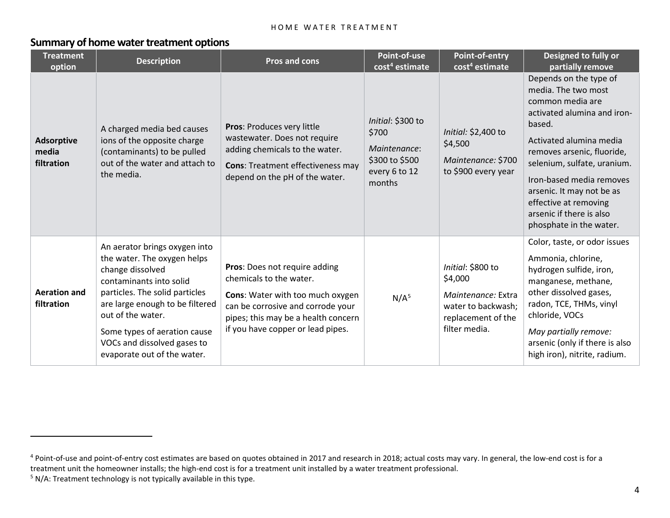#### <span id="page-3-1"></span><span id="page-3-0"></span>**Summary of home water treatment options**

| <b>Treatment</b><br>option               | <b>Description</b>                                                                                                                                                                                                                                                                                  | <b>Pros and cons</b>                                                                                                                                                                                          | Point-of-use<br>cost <sup>4</sup> estimate                                              | Point-of-entry<br>cost <sup>4</sup> estimate                                                                    | Designed to fully or<br>partially remove                                                                                                                                                                                                                                                                                                    |
|------------------------------------------|-----------------------------------------------------------------------------------------------------------------------------------------------------------------------------------------------------------------------------------------------------------------------------------------------------|---------------------------------------------------------------------------------------------------------------------------------------------------------------------------------------------------------------|-----------------------------------------------------------------------------------------|-----------------------------------------------------------------------------------------------------------------|---------------------------------------------------------------------------------------------------------------------------------------------------------------------------------------------------------------------------------------------------------------------------------------------------------------------------------------------|
| <b>Adsorptive</b><br>media<br>filtration | A charged media bed causes<br>ions of the opposite charge<br>(contaminants) to be pulled<br>out of the water and attach to<br>the media.                                                                                                                                                            | Pros: Produces very little<br>wastewater. Does not require<br>adding chemicals to the water.<br><b>Cons: Treatment effectiveness may</b><br>depend on the pH of the water.                                    | Initial: \$300 to<br>\$700<br>Maintenance:<br>\$300 to \$500<br>every 6 to 12<br>months | Initial: \$2,400 to<br>\$4,500<br>Maintenance: \$700<br>to \$900 every year                                     | Depends on the type of<br>media. The two most<br>common media are<br>activated alumina and iron-<br>based.<br>Activated alumina media<br>removes arsenic, fluoride,<br>selenium, sulfate, uranium.<br>Iron-based media removes<br>arsenic. It may not be as<br>effective at removing<br>arsenic if there is also<br>phosphate in the water. |
| <b>Aeration and</b><br>filtration        | An aerator brings oxygen into<br>the water. The oxygen helps<br>change dissolved<br>contaminants into solid<br>particles. The solid particles<br>are large enough to be filtered<br>out of the water.<br>Some types of aeration cause<br>VOCs and dissolved gases to<br>evaporate out of the water. | Pros: Does not require adding<br>chemicals to the water.<br>Cons: Water with too much oxygen<br>can be corrosive and corrode your<br>pipes; this may be a health concern<br>if you have copper or lead pipes. | N/A <sup>5</sup>                                                                        | Initial: \$800 to<br>\$4,000<br>Maintenance: Extra<br>water to backwash;<br>replacement of the<br>filter media. | Color, taste, or odor issues<br>Ammonia, chlorine,<br>hydrogen sulfide, iron,<br>manganese, methane,<br>other dissolved gases,<br>radon, TCE, THMs, vinyl<br>chloride, VOCs<br>May partially remove:<br>arsenic (only if there is also<br>high iron), nitrite, radium.                                                                      |

 $\overline{a}$ 

<sup>&</sup>lt;sup>4</sup> Point-of-use and point-of-entry cost estimates are based on quotes obtained in 2017 and research in 2018; actual costs may vary. In general, the low-end cost is for a treatment unit the homeowner installs; the high-end cost is for a treatment unit installed by a water treatment professional.

 $5$  N/A: Treatment technology is not typically available in this type.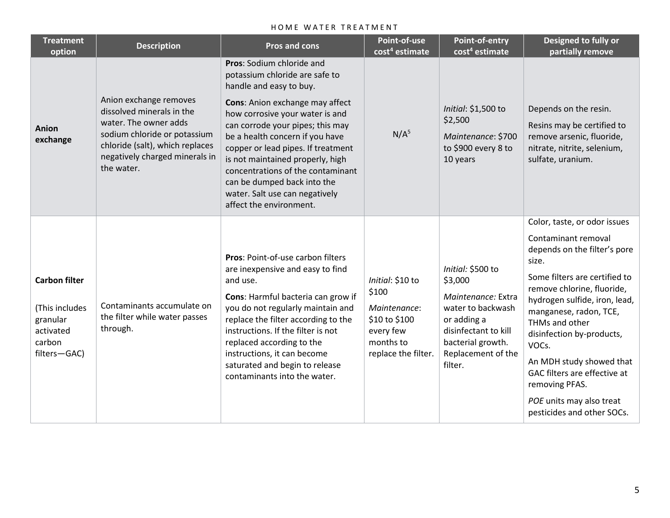| <b>Treatment</b><br>option                                                                | <b>Description</b>                                                                                                                                                                              | <b>Pros and cons</b>                                                                                                                                                                                                                                                                                                                                                                                                                           | Point-of-use<br>cost <sup>4</sup> estimate                                                                  | Point-of-entry<br>cost <sup>4</sup> estimate                                                                                                                         | Designed to fully or<br>partially remove                                                                                                                                                                                                                                                                                                                                                                               |
|-------------------------------------------------------------------------------------------|-------------------------------------------------------------------------------------------------------------------------------------------------------------------------------------------------|------------------------------------------------------------------------------------------------------------------------------------------------------------------------------------------------------------------------------------------------------------------------------------------------------------------------------------------------------------------------------------------------------------------------------------------------|-------------------------------------------------------------------------------------------------------------|----------------------------------------------------------------------------------------------------------------------------------------------------------------------|------------------------------------------------------------------------------------------------------------------------------------------------------------------------------------------------------------------------------------------------------------------------------------------------------------------------------------------------------------------------------------------------------------------------|
| Anion<br>exchange                                                                         | Anion exchange removes<br>dissolved minerals in the<br>water. The owner adds<br>sodium chloride or potassium<br>chloride (salt), which replaces<br>negatively charged minerals in<br>the water. | Pros: Sodium chloride and<br>potassium chloride are safe to<br>handle and easy to buy.<br>Cons: Anion exchange may affect<br>how corrosive your water is and<br>can corrode your pipes; this may<br>be a health concern if you have<br>copper or lead pipes. If treatment<br>is not maintained properly, high<br>concentrations of the contaminant<br>can be dumped back into the<br>water. Salt use can negatively<br>affect the environment. | N/A <sup>5</sup>                                                                                            | Initial: \$1,500 to<br>\$2,500<br>Maintenance: \$700<br>to \$900 every 8 to<br>10 years                                                                              | Depends on the resin.<br>Resins may be certified to<br>remove arsenic, fluoride,<br>nitrate, nitrite, selenium,<br>sulfate, uranium.                                                                                                                                                                                                                                                                                   |
| <b>Carbon filter</b><br>(This includes<br>granular<br>activated<br>carbon<br>filters-GAC) | Contaminants accumulate on<br>the filter while water passes<br>through.                                                                                                                         | Pros: Point-of-use carbon filters<br>are inexpensive and easy to find<br>and use.<br>Cons: Harmful bacteria can grow if<br>you do not regularly maintain and<br>replace the filter according to the<br>instructions. If the filter is not<br>replaced according to the<br>instructions, it can become<br>saturated and begin to release<br>contaminants into the water.                                                                        | Initial: \$10 to<br>\$100<br>Maintenance:<br>\$10 to \$100<br>every few<br>months to<br>replace the filter. | Initial: \$500 to<br>\$3,000<br>Maintenance: Extra<br>water to backwash<br>or adding a<br>disinfectant to kill<br>bacterial growth.<br>Replacement of the<br>filter. | Color, taste, or odor issues<br>Contaminant removal<br>depends on the filter's pore<br>size.<br>Some filters are certified to<br>remove chlorine, fluoride,<br>hydrogen sulfide, iron, lead,<br>manganese, radon, TCE,<br>THMs and other<br>disinfection by-products,<br>VOCs.<br>An MDH study showed that<br>GAC filters are effective at<br>removing PFAS.<br>POE units may also treat<br>pesticides and other SOCs. |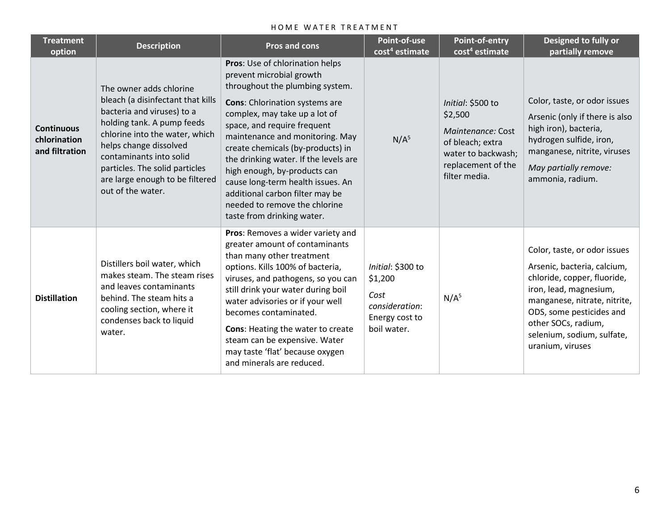| <b>Treatment</b><br>option                          | <b>Description</b>                                                                                                                                                                                                                                                                                        | <b>Pros and cons</b>                                                                                                                                                                                                                                                                                                                                                                                                                                                                            | Point-of-use<br>cost <sup>4</sup> estimate                                              | Point-of-entry<br>cost <sup>4</sup> estimate                                                                                       | Designed to fully or<br>partially remove                                                                                                                                                                                                                  |
|-----------------------------------------------------|-----------------------------------------------------------------------------------------------------------------------------------------------------------------------------------------------------------------------------------------------------------------------------------------------------------|-------------------------------------------------------------------------------------------------------------------------------------------------------------------------------------------------------------------------------------------------------------------------------------------------------------------------------------------------------------------------------------------------------------------------------------------------------------------------------------------------|-----------------------------------------------------------------------------------------|------------------------------------------------------------------------------------------------------------------------------------|-----------------------------------------------------------------------------------------------------------------------------------------------------------------------------------------------------------------------------------------------------------|
| <b>Continuous</b><br>chlorination<br>and filtration | The owner adds chlorine<br>bleach (a disinfectant that kills<br>bacteria and viruses) to a<br>holding tank. A pump feeds<br>chlorine into the water, which<br>helps change dissolved<br>contaminants into solid<br>particles. The solid particles<br>are large enough to be filtered<br>out of the water. | Pros: Use of chlorination helps<br>prevent microbial growth<br>throughout the plumbing system.<br><b>Cons:</b> Chlorination systems are<br>complex, may take up a lot of<br>space, and require frequent<br>maintenance and monitoring. May<br>create chemicals (by-products) in<br>the drinking water. If the levels are<br>high enough, by-products can<br>cause long-term health issues. An<br>additional carbon filter may be<br>needed to remove the chlorine<br>taste from drinking water. | N/A <sup>5</sup>                                                                        | Initial: \$500 to<br>\$2,500<br>Maintenance: Cost<br>of bleach; extra<br>water to backwash;<br>replacement of the<br>filter media. | Color, taste, or odor issues<br>Arsenic (only if there is also<br>high iron), bacteria,<br>hydrogen sulfide, iron,<br>manganese, nitrite, viruses<br>May partially remove:<br>ammonia, radium.                                                            |
| <b>Distillation</b>                                 | Distillers boil water, which<br>makes steam. The steam rises<br>and leaves contaminants<br>behind. The steam hits a<br>cooling section, where it<br>condenses back to liquid<br>water.                                                                                                                    | Pros: Removes a wider variety and<br>greater amount of contaminants<br>than many other treatment<br>options. Kills 100% of bacteria,<br>viruses, and pathogens, so you can<br>still drink your water during boil<br>water advisories or if your well<br>becomes contaminated.<br>Cons: Heating the water to create<br>steam can be expensive. Water<br>may taste 'flat' because oxygen<br>and minerals are reduced.                                                                             | Initial: \$300 to<br>\$1,200<br>Cost<br>consideration:<br>Energy cost to<br>boil water. | N/A <sup>5</sup>                                                                                                                   | Color, taste, or odor issues<br>Arsenic, bacteria, calcium,<br>chloride, copper, fluoride,<br>iron, lead, magnesium,<br>manganese, nitrate, nitrite,<br>ODS, some pesticides and<br>other SOCs, radium,<br>selenium, sodium, sulfate,<br>uranium, viruses |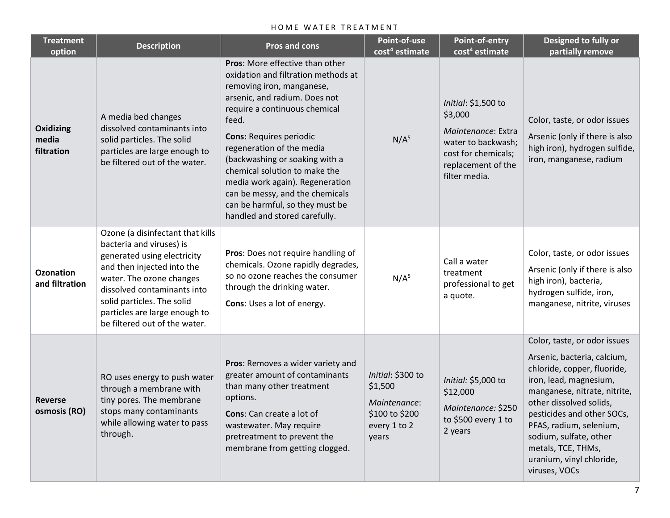| <b>Treatment</b><br>option         | <b>Description</b>                                                                                                                                                                                                                                                                   | <b>Pros and cons</b>                                                                                                                                                                                                                                                                                                                                                                                                                                       | Point-of-use<br>cost <sup>4</sup> estimate                                              | Point-of-entry<br>cost <sup>4</sup> estimate                                                                                             | Designed to fully or<br>partially remove                                                                                                                                                                                                                                                                                              |  |
|------------------------------------|--------------------------------------------------------------------------------------------------------------------------------------------------------------------------------------------------------------------------------------------------------------------------------------|------------------------------------------------------------------------------------------------------------------------------------------------------------------------------------------------------------------------------------------------------------------------------------------------------------------------------------------------------------------------------------------------------------------------------------------------------------|-----------------------------------------------------------------------------------------|------------------------------------------------------------------------------------------------------------------------------------------|---------------------------------------------------------------------------------------------------------------------------------------------------------------------------------------------------------------------------------------------------------------------------------------------------------------------------------------|--|
| Oxidizing<br>media<br>filtration   | A media bed changes<br>dissolved contaminants into<br>solid particles. The solid<br>particles are large enough to<br>be filtered out of the water.                                                                                                                                   | Pros: More effective than other<br>oxidation and filtration methods at<br>removing iron, manganese,<br>arsenic, and radium. Does not<br>require a continuous chemical<br>feed.<br><b>Cons: Requires periodic</b><br>regeneration of the media<br>(backwashing or soaking with a<br>chemical solution to make the<br>media work again). Regeneration<br>can be messy, and the chemicals<br>can be harmful, so they must be<br>handled and stored carefully. | N/A <sup>5</sup>                                                                        | Initial: \$1,500 to<br>\$3,000<br>Maintenance: Extra<br>water to backwash;<br>cost for chemicals;<br>replacement of the<br>filter media. | Color, taste, or odor issues<br>Arsenic (only if there is also<br>high iron), hydrogen sulfide,<br>iron, manganese, radium                                                                                                                                                                                                            |  |
| <b>Ozonation</b><br>and filtration | Ozone (a disinfectant that kills<br>bacteria and viruses) is<br>generated using electricity<br>and then injected into the<br>water. The ozone changes<br>dissolved contaminants into<br>solid particles. The solid<br>particles are large enough to<br>be filtered out of the water. | Pros: Does not require handling of<br>chemicals. Ozone rapidly degrades,<br>so no ozone reaches the consumer<br>through the drinking water.<br>Cons: Uses a lot of energy.                                                                                                                                                                                                                                                                                 | N/A <sup>5</sup>                                                                        | Call a water<br>treatment<br>professional to get<br>a quote.                                                                             | Color, taste, or odor issues<br>Arsenic (only if there is also<br>high iron), bacteria,<br>hydrogen sulfide, iron,<br>manganese, nitrite, viruses                                                                                                                                                                                     |  |
| <b>Reverse</b><br>osmosis (RO)     | RO uses energy to push water<br>through a membrane with<br>tiny pores. The membrane<br>stops many contaminants<br>while allowing water to pass<br>through.                                                                                                                           | Pros: Removes a wider variety and<br>greater amount of contaminants<br>than many other treatment<br>options.<br>Cons: Can create a lot of<br>wastewater. May require<br>pretreatment to prevent the<br>membrane from getting clogged.                                                                                                                                                                                                                      | Initial: \$300 to<br>\$1,500<br>Maintenance:<br>\$100 to \$200<br>every 1 to 2<br>years | Initial: \$5,000 to<br>\$12,000<br>Maintenance: \$250<br>to \$500 every 1 to<br>2 years                                                  | Color, taste, or odor issues<br>Arsenic, bacteria, calcium,<br>chloride, copper, fluoride,<br>iron, lead, magnesium,<br>manganese, nitrate, nitrite,<br>other dissolved solids,<br>pesticides and other SOCs,<br>PFAS, radium, selenium,<br>sodium, sulfate, other<br>metals, TCE, THMs,<br>uranium, vinyl chloride,<br>viruses, VOCs |  |